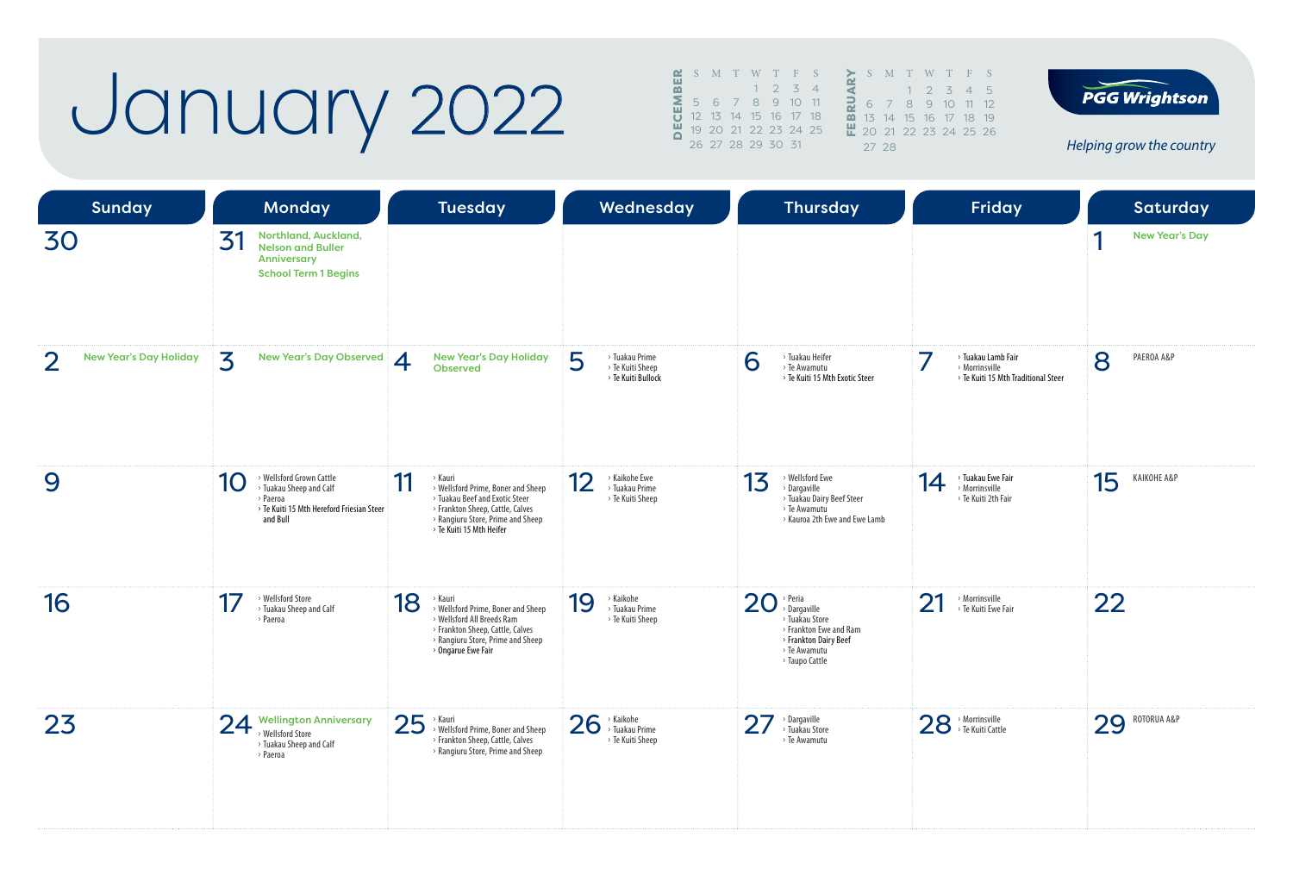### January 2022

| <u>~</u> |  |                   |             | S M T W T F S              |                          |                         | S.                   |               |
|----------|--|-------------------|-------------|----------------------------|--------------------------|-------------------------|----------------------|---------------|
| 쁢        |  |                   | $1 \t2 \t3$ |                            | $\overline{\mathcal{A}}$ |                         |                      |               |
| Σ        |  |                   |             | 5 6 7 8 9 10 11            |                          |                         | 6                    | J             |
|          |  |                   |             | 12  13  14  15  16  17  18 |                          | $\overline{\mathbf{m}}$ | $1\overline{5}$      | $\mathbf{1}$  |
|          |  |                   |             | 19 20 21 22 23 24 25       |                          |                         | $\frac{11}{20}$ 20 2 |               |
|          |  | 26 27 28 29 30 31 |             |                            |                          |                         | 27                   | $\mathcal{P}$ |
|          |  |                   |             |                            |                          |                         |                      |               |

T W T F S  $1 2 3 4 5$ 8 9 10 11 12 15 16 17 18 19 22 23 24 25 26

**PGG Wrightson** 

| Sunday                             | <b>Monday</b>                                                                                                                  | <b>Tuesday</b>                                                                                                                                                                             | Wednesday                                                     | <b>Thursday</b>                                                                                                                                 | Friday                                                                      | <b>Saturday</b>            |
|------------------------------------|--------------------------------------------------------------------------------------------------------------------------------|--------------------------------------------------------------------------------------------------------------------------------------------------------------------------------------------|---------------------------------------------------------------|-------------------------------------------------------------------------------------------------------------------------------------------------|-----------------------------------------------------------------------------|----------------------------|
| 30                                 | Northland, Auckland,<br>31<br><b>Nelson and Buller</b><br>Anniversary<br><b>School Term 1 Begins</b>                           |                                                                                                                                                                                            |                                                               |                                                                                                                                                 |                                                                             | <b>New Year's Day</b><br>и |
| <b>New Year's Day Holiday</b><br>2 | 3<br><b>New Year's Day Observed</b>                                                                                            | <b>New Year's Day Holiday</b><br>4<br>Observed                                                                                                                                             | 5<br>> Tuakau Prime<br>> Te Kuiti Sheep<br>> Te Kuiti Bullock | > Tuakau Heifer<br>6<br>> Te Awamutu<br>> Te Kuiti 15 Mth Exotic Steer                                                                          | > Tuakau Lamb Fair<br>> Morrinsville<br>> Te Kuiti 15 Mth Traditional Steer | 8<br>PAEROA A&P            |
| 9                                  | > Wellsford Grown Cattle<br>10<br>> Tuakau Sheep and Calf<br>> Paeroa<br>> Te Kuiti 15 Mth Hereford Friesian Steer<br>and Bull | 11<br>> Kauri<br>> Wellsford Prime, Boner and Sheep<br>> Tuakau Beef and Exotic Steer<br>> Frankton Sheep, Cattle, Calves<br>> Rangiuru Store, Prime and Sheep<br>> Te Kuiti 15 Mth Heifer | 12<br>> Kaikohe Ewe<br>> Tuakau Prime<br>> Te Kuiti Sheep     | > Wellsford Ewe<br>13<br>> Dargaville<br>> Tuakau Dairy Beef Steer<br>> Te Awamutu<br>> Kauroa 2th Ewe and Ewe Lamb                             | > Tuakau Ewe Fair<br>14<br>> Morrinsville<br>> Te Kuiti 2th Fair            | 15<br>KAIKOHE A&P          |
| 16                                 | > Wellsford Store<br>> Tuakau Sheep and Calf<br>> Paeroa                                                                       | 18<br>> Kauri<br>> Wellsford Prime, Boner and Sheep<br>> Wellsford All Breeds Ram<br>> Frankton Sheep, Cattle, Calves<br>> Rangiuru Store, Prime and Sheep<br>> Ongarue Ewe Fair           | > Kaikohe<br>19<br>> Tuakau Prime<br>> Te Kuiti Sheep         | $20$ <sup>&gt; Peria</sup><br>Dargaville<br>> Tuakau Store<br>> Frankton Ewe and Ram<br>> Frankton Dairy Beef<br>> Te Awamutu<br>> Taupo Cattle | 21<br>> Morrinsville<br>> Te Kuiti Ewe Fair                                 | 22                         |
| 23                                 | 24 Wellington Anniversary<br>> Wellsford Store<br>> Tuakau Sheep and Calf<br>> Paeroa                                          | 25<br>› Kauri<br>> Wellsford Prime, Boner and Sheep<br>> Frankton Sheep, Cattle, Calves<br>> Rangiuru Store, Prime and Sheep                                                               | 26<br>> Kaikohe<br>> Tuakau Prime<br>> Te Kuiti Sheep         | $\overline{2}$<br>> Dargaville<br>> Tuakau Store<br>> Te Awamutu                                                                                | $28$ <sup>, Morrinsville</sup>                                              | ROTORUA A&P<br>29          |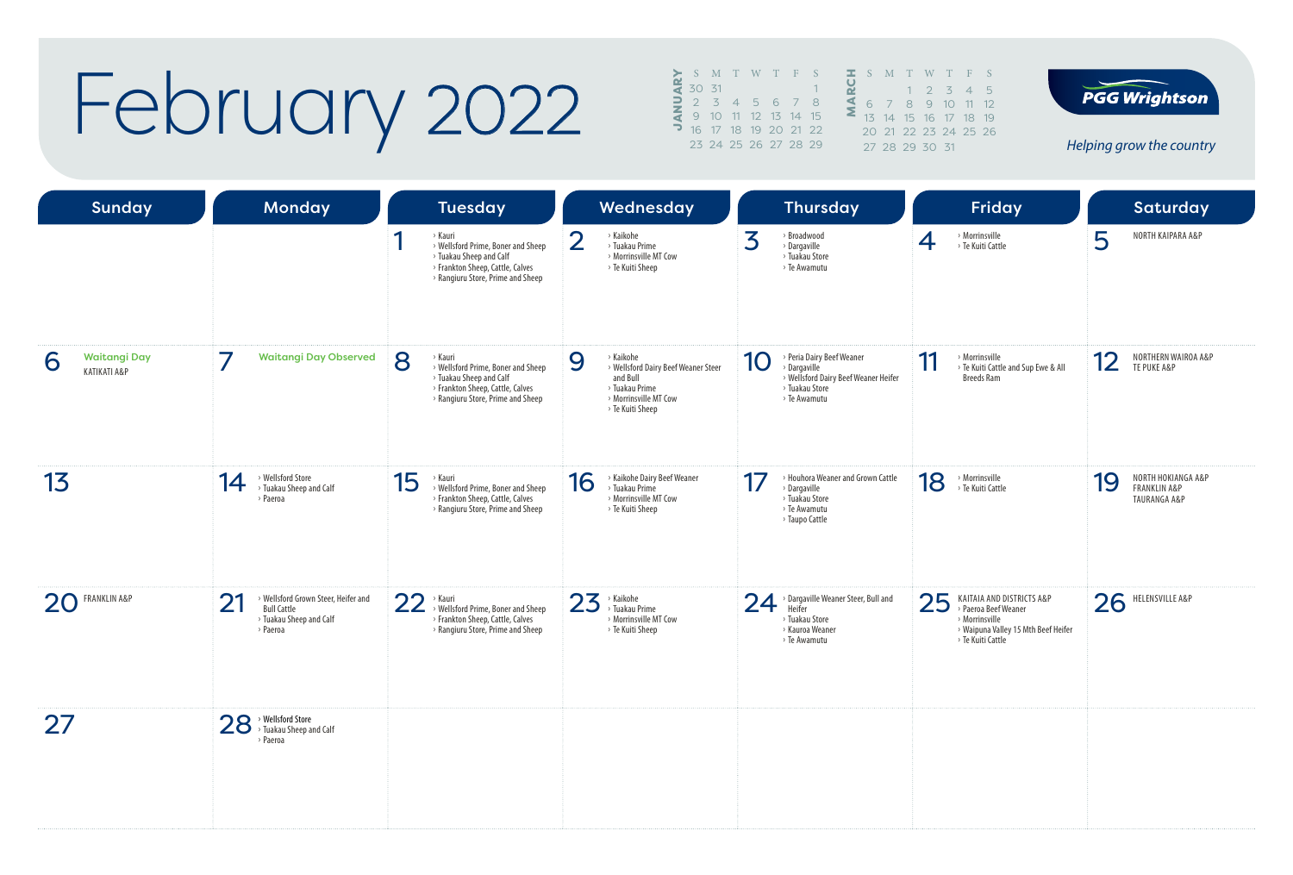## February 2022

|   |               | S M T W T F S        |  |           |  | S      |    |
|---|---------------|----------------------|--|-----------|--|--------|----|
|   | 30 31         |                      |  |           |  |        |    |
|   | $\supset$ 2 3 |                      |  | 4 5 6 7 8 |  |        |    |
|   |               | 9 10 11 12 13 14 15  |  |           |  | $13 -$ | 14 |
| っ |               | 16 17 18 19 20 21 22 |  |           |  | 20.21  |    |
|   |               | 23 24 25 26 27 28 29 |  |           |  | 27 28  |    |





| Sunday                                   | Monday                                                                                                 | <b>Tuesday</b>                                                                                                                                                                  | Wednesday                                                                                                                        | <b>Thursday</b>                                                                                                           | Friday                                                                                                                                | <b>Saturday</b>                                                                |
|------------------------------------------|--------------------------------------------------------------------------------------------------------|---------------------------------------------------------------------------------------------------------------------------------------------------------------------------------|----------------------------------------------------------------------------------------------------------------------------------|---------------------------------------------------------------------------------------------------------------------------|---------------------------------------------------------------------------------------------------------------------------------------|--------------------------------------------------------------------------------|
|                                          |                                                                                                        | и<br>> Kauri<br>> Wellsford Prime, Boner and Sheep<br>> Tuakau Sheep and Calf<br>> Frankton Sheep, Cattle, Calves<br>> Rangiuru Store, Prime and Sheep                          | $\overline{2}$<br>> Kaikohe<br>> Tuakau Prime<br>> Morrinsville MT Cow<br>> Te Kuiti Sheep                                       | 3<br>$\rightarrow$ Broadwood<br>> Dargaville<br>> Tuakau Store<br>> Te Awamutu                                            | > Morrinsville<br>4<br>> Te Kuiti Cattle                                                                                              | NORTH KAIPARA A&P<br>5                                                         |
| <b>Waitangi Day</b><br>6<br>KATIKATI A&P | 7<br><b>Waitangi Day Observed</b>                                                                      | $\mathbf{8}$<br>> Kauri<br>> Wellsford Prime, Boner and Sheep<br><sup>&gt;</sup> Tuakau Sheep and Calf<br>> Frankton Sheep, Cattle, Calves<br>> Rangiuru Store, Prime and Sheep | 9<br>> Kaikohe<br>> Wellsford Dairy Beef Weaner Steer<br>and Bull<br>> Tuakau Prime<br>> Morrinsville MT Cow<br>> Te Kuiti Sheep | > Peria Dairy Beef Weaner<br>10<br>> Dargaville<br>> Wellsford Dairy Beef Weaner Heifer<br>> Tuakau Store<br>> Te Awamutu | 11<br>> Morrinsville<br>> Te Kuiti Cattle and Sup Ewe & All<br><b>Breeds Ram</b>                                                      | NORTHERN WAIROA A&P<br>12<br>TE PUKE A&P                                       |
| 13                                       | > Wellsford Store<br>14<br>> Tuakau Sheep and Calf<br>> Paeroa                                         | 15<br>› Kauri<br>> Wellsford Prime, Boner and Sheep<br>> Frankton Sheep, Cattle, Calves<br>> Rangiuru Store, Prime and Sheep                                                    | > Kaikohe Dairy Beef Weaner<br>16<br>> Tuakau Prime<br>> Morrinsville MT Cow<br>> Te Kuiti Sheep                                 | > Houhora Weaner and Grown Cattle<br>17<br>> Dargaville<br>> Tuakau Store<br>> Te Awamutu<br>> Taupo Cattle               | 18<br>$\rightarrow$ Morrinsville<br>> Te Kuiti Cattle                                                                                 | NORTH HOKIANGA A&P<br>19<br><b>FRANKLIN A&amp;P</b><br><b>TAURANGA A&amp;P</b> |
| 20 FRANKLIN A&P                          | > Wellsford Grown Steer, Heifer and<br>21<br><b>Bull Cattle</b><br>> Tuakau Sheep and Calf<br>> Paeroa | 22<br>Kauri<br>> Wellsford Prime, Boner and Sheep<br>> Frankton Sheep, Cattle, Calves<br>> Rangiuru Store, Prime and Sheep                                                      | 23<br>$\times$ Kaikohe<br>> Tuakau Prime<br>> Morrinsville MT Cow<br>> Te Kuiti Sheep                                            | > Dargaville Weaner Steer, Bull and<br>24<br>Heifer<br>> Tuakau Store<br>> Kauroa Weaner<br>> Te Awamutu                  | 25<br>KAITAIA AND DISTRICTS A&P<br>> Paeroa Beef Weaner<br>> Morrinsville<br>> Waipuna Valley 15 Mth Beef Heifer<br>> Te Kuiti Cattle | 26<br>HELENSVILLE A&P                                                          |
| 27                                       | 28 > Wellsford Store<br>Tuakau Sheep and Calf<br>> Paeroa                                              |                                                                                                                                                                                 |                                                                                                                                  |                                                                                                                           |                                                                                                                                       |                                                                                |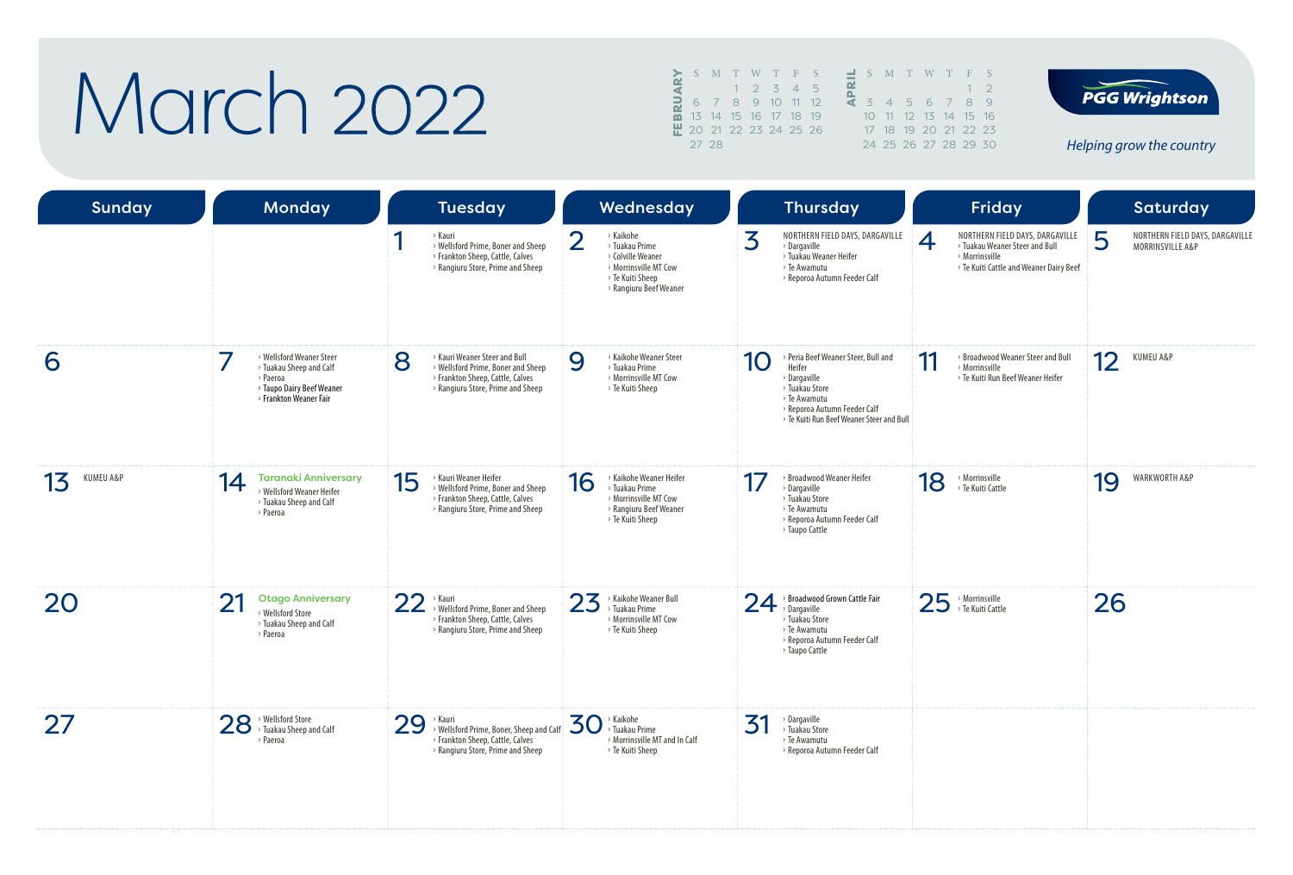## March 2022

|   |                               |  | S M T W T F S        |    | <sup>C</sup>   |
|---|-------------------------------|--|----------------------|----|----------------|
|   |                               |  | $2 \t3 \t4$          | 15 |                |
| е |                               |  | 6 7 8 9 10 11 12     |    | $\overline{z}$ |
|   |                               |  | 13 14 15 16 17 18 19 |    | $1 \cap$       |
|   | <b>뿐</b> 20 21 22 23 24 25 26 |  |                      |    | 17             |
|   | 27 28                         |  |                      |    |                |





| <b>Sunday</b>   | <b>Monday</b>                                                                                                                        | <b>Tuesday</b>                                                                                                                                    | Wednesday                                                                                                                                 | <b>Thursday</b>                                                                                                                                                                                | Friday                                                                                                                                           | Saturday                                                 |
|-----------------|--------------------------------------------------------------------------------------------------------------------------------------|---------------------------------------------------------------------------------------------------------------------------------------------------|-------------------------------------------------------------------------------------------------------------------------------------------|------------------------------------------------------------------------------------------------------------------------------------------------------------------------------------------------|--------------------------------------------------------------------------------------------------------------------------------------------------|----------------------------------------------------------|
|                 |                                                                                                                                      | > Kauri<br>> Wellsford Prime, Boner and Sheep<br>> Frankton Sheep, Cattle, Calves<br>> Rangiuru Store, Prime and Sheep                            | $\overline{2}$<br>> Kaikohe<br>> Tuakau Prime<br>> Colville Weaner<br>> Morrinsville MT Cow<br>> Te Kuiti Sheep<br>> Rangiuru Beef Weaner | 3<br>NORTHERN FIELD DAYS, DARGAVILLE<br>> Dargaville<br>> Tuakau Weaner Heifer<br>> Te Awamutu<br>> Reporoa Autumn Feeder Calf                                                                 | NORTHERN FIELD DAYS, DARGAVILLE<br>$\overline{4}$<br>> Tuakau Weaner Steer and Bull<br>> Morrinsville<br>> Te Kuiti Cattle and Weaner Dairy Beef | 5<br>NORTHERN FIELD DAYS, DARGAVILLE<br>MORRINSVILLE A&P |
| 6               | > Wellsford Weaner Steer<br><sup>&gt;</sup> Tuakau Sheep and Calf<br>> Paeroa<br>> Taupo Dairy Beef Weaner<br>> Frankton Weaner Fair | 8<br>> Kauri Weaner Steer and Bull<br>> Wellsford Prime, Boner and Sheep<br>> Frankton Sheep, Cattle, Calves<br>> Rangiuru Store, Prime and Sheep | > Kaikohe Weaner Steer<br>9<br>> Tuakau Prime<br>> Morrinsville MT Cow<br>> Te Kuiti Sheep                                                | > Peria Beef Weaner Steer, Bull and<br>10<br>Heifer<br>$\rightarrow$ Dargaville<br>> Tuakau Store<br>> Te Awamutu<br>> Reporoa Autumn Feeder Calf<br>> Te Kuiti Run Beef Weaner Steer and Bull | > Broadwood Weaner Steer and Bull<br>11<br>> Morrinsville<br>> Te Kuiti Run Beef Weaner Heifer                                                   | 12<br>KUMEU A&P                                          |
| KUMEU A&P<br>13 | <b>Taranaki Anniversary</b><br>14<br>> Wellsford Weaner Heifer<br>> Tuakau Sheep and Calf<br>> Paeroa                                | 15<br>> Kauri Weaner Heifer<br>> Wellsford Prime, Boner and Sheep<br>> Frankton Sheep, Cattle, Calves<br>> Rangiuru Store, Prime and Sheep        | > Kaikohe Weaner Heifer<br>16<br>> Tuakau Prime<br>> Morrinsville MT Cow<br>> Rangiuru Beef Weaner<br>> Te Kuiti Sheep                    | > Broadwood Weaner Heifer<br>17<br>> Dargaville<br>> Tuakau Store<br>> Te Awamutu<br>> Reporoa Autumn Feeder Calf<br>> Taupo Cattle                                                            | 18<br>> Morrinsville<br>> Te Kuiti Cattle                                                                                                        | 19<br>WARKWORTH A&P                                      |
| 20              | 21<br><b>Otago Anniversary</b><br>> Wellsford Store<br>> Tuakau Sheep and Calf<br>> Paeroa                                           | 22<br>> Kauri<br>> Wellsford Prime, Boner and Sheep<br>> Frankton Sheep, Cattle, Calves<br>> Rangiuru Store, Prime and Sheep                      | 23<br>> Kaikohe Weaner Bull<br>> Tuakau Prime<br>> Morrinsville MT Cow<br>> Te Kuiti Sheep                                                | > Broadwood Grown Cattle Fair<br>24<br>> Dargaville<br>> Tuakau Store<br>> Te Awamutu<br>> Reporoa Autumn Feeder Calf<br>> Taupo Cattle                                                        | 25 > Morrinsville                                                                                                                                | 26                                                       |
| 27              | 28 > Wellsford Store<br>Digitals Sheep and Calf<br>> Paeroa                                                                          | 29<br>> Kauri<br>> Wellsford Prime, Boner, Sheep and Calf<br>> Frankton Sheep, Cattle, Calves<br>> Rangiuru Store, Prime and Sheep                | $30$ > Kaikohe<br>> Tuakau Prime<br>> Morrinsville MT and In Calf<br>> Te Kuiti Sheep                                                     | 31<br>> Dargaville<br>> Tuakau Store<br>> Te Awamutu<br>> Reporoa Autumn Feeder Calf                                                                                                           |                                                                                                                                                  |                                                          |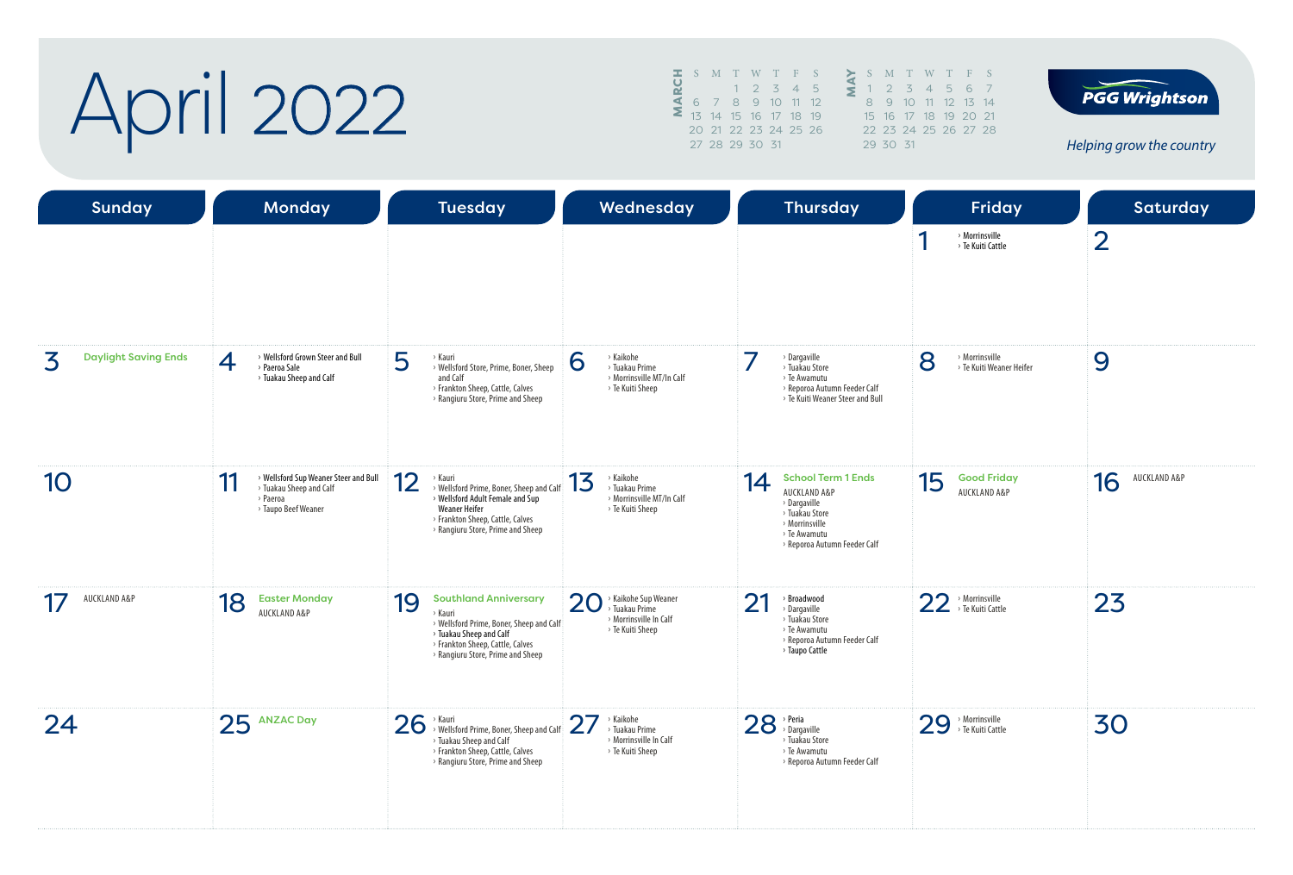# April 2022

|                      |  |                | S M T W T F S        |   |    |
|----------------------|--|----------------|----------------------|---|----|
|                      |  |                | $1 \t2 \t3 \t4$      | 5 |    |
| $\blacktriangleleft$ |  |                | 6 7 8 9 10 11 12     |   |    |
|                      |  |                | 13 14 15 16 17 18 19 |   | 15 |
|                      |  |                | 20 21 22 23 24 25 26 |   | 22 |
|                      |  | 27 28 29 30 31 |                      |   |    |
|                      |  |                |                      |   |    |





| <b>Sunday</b>                    | <b>Monday</b>                                                                                             | <b>Tuesday</b>                                                                                                                                                                                 | Wednesday                                                                                | <b>Thursday</b>                                                                                                                                     | Friday                                                      | <b>Saturday</b>    |
|----------------------------------|-----------------------------------------------------------------------------------------------------------|------------------------------------------------------------------------------------------------------------------------------------------------------------------------------------------------|------------------------------------------------------------------------------------------|-----------------------------------------------------------------------------------------------------------------------------------------------------|-------------------------------------------------------------|--------------------|
|                                  |                                                                                                           |                                                                                                                                                                                                |                                                                                          |                                                                                                                                                     | > Morrinsville<br>> Te Kuiti Cattle                         | $\overline{2}$     |
| <b>Daylight Saving Ends</b><br>3 | > Wellsford Grown Steer and Bull<br>4<br>> Paeroa Sale<br>> Tuakau Sheep and Calf                         | 5<br>› Kauri<br>> Wellsford Store, Prime, Boner, Sheep<br>and Calf<br>> Frankton Sheep, Cattle, Calves<br>> Rangiuru Store, Prime and Sheep                                                    | > Kaikohe<br>6<br>> Tuakau Prime<br>> Morrinsville MT/In Calf<br>> Te Kuiti Sheep        | > Dargaville<br>> Tuakau Store<br>> Te Awamutu<br>> Reporoa Autumn Feeder Calf<br>> Te Kuiti Weaner Steer and Bull                                  | 8<br>$\rightarrow$ Morrinsville<br>> Te Kuiti Weaner Heifer | 9                  |
| 10                               | > Wellsford Sup Weaner Steer and Bull<br>11<br>> Tuakau Sheep and Calf<br>> Paeroa<br>> Taupo Beef Weaner | 12<br>› Kauri<br>> Wellsford Prime, Boner, Sheep and Calf<br>> Wellsford Adult Female and Sup<br><b>Weaner Heifer</b><br>> Frankton Sheep, Cattle, Calves<br>> Rangiuru Store, Prime and Sheep | 13<br>> Kaikohe<br>> Tuakau Prime<br>> Morrinsville MT/In Calf<br>> Te Kuiti Sheep       | <b>School Term 1 Ends</b><br>14<br>AUCKLAND A&P<br>> Dargaville<br>> Tuakau Store<br>> Morrinsville<br>> Te Awamutu<br>> Reporoa Autumn Feeder Calf | 15<br><b>Good Friday</b><br>AUCKLAND A&P                    | AUCKLAND A&P<br>16 |
| AUCKLAND A&P<br>17               | 18<br><b>Easter Monday</b><br>AUCKLAND A&P                                                                | 19<br><b>Southland Anniversary</b><br>> Kauri<br>> Wellsford Prime, Boner, Sheep and Calf<br>> Tuakau Sheep and Calf<br>> Frankton Sheep, Cattle, Calves<br>> Rangiuru Store, Prime and Sheep  | > Kaikohe Sup Weaner<br>20<br>Tuakau Prime<br>> Morrinsville In Calf<br>> Te Kuiti Sheep | 21<br>> Broadwood<br>> Dargaville<br>> Tuakau Store<br>> Te Awamutu<br>> Reporoa Autumn Feeder Calf<br>> Taupo Cattle                               | 22 > Morrinsville                                           | 23                 |
| 24                               | 25 ANZAC Day                                                                                              | 26<br>> Kauri<br>> Wellsford Prime, Boner, Sheep and Calf<br>> Tuakau Sheep and Calf<br>> Frankton Sheep, Cattle, Calves<br>> Rangiuru Store, Prime and Sheep                                  | 27<br>> Kaikohe<br>> Tuakau Prime<br>> Morrinsville In Calf<br>> Te Kuiti Sheep          | $28$ <sup>&gt;</sup> Peria<br>> Tuakau Store<br>> Te Awamutu<br>> Reporoa Autumn Feeder Calf                                                        | 29 > Morrinsville                                           | 30                 |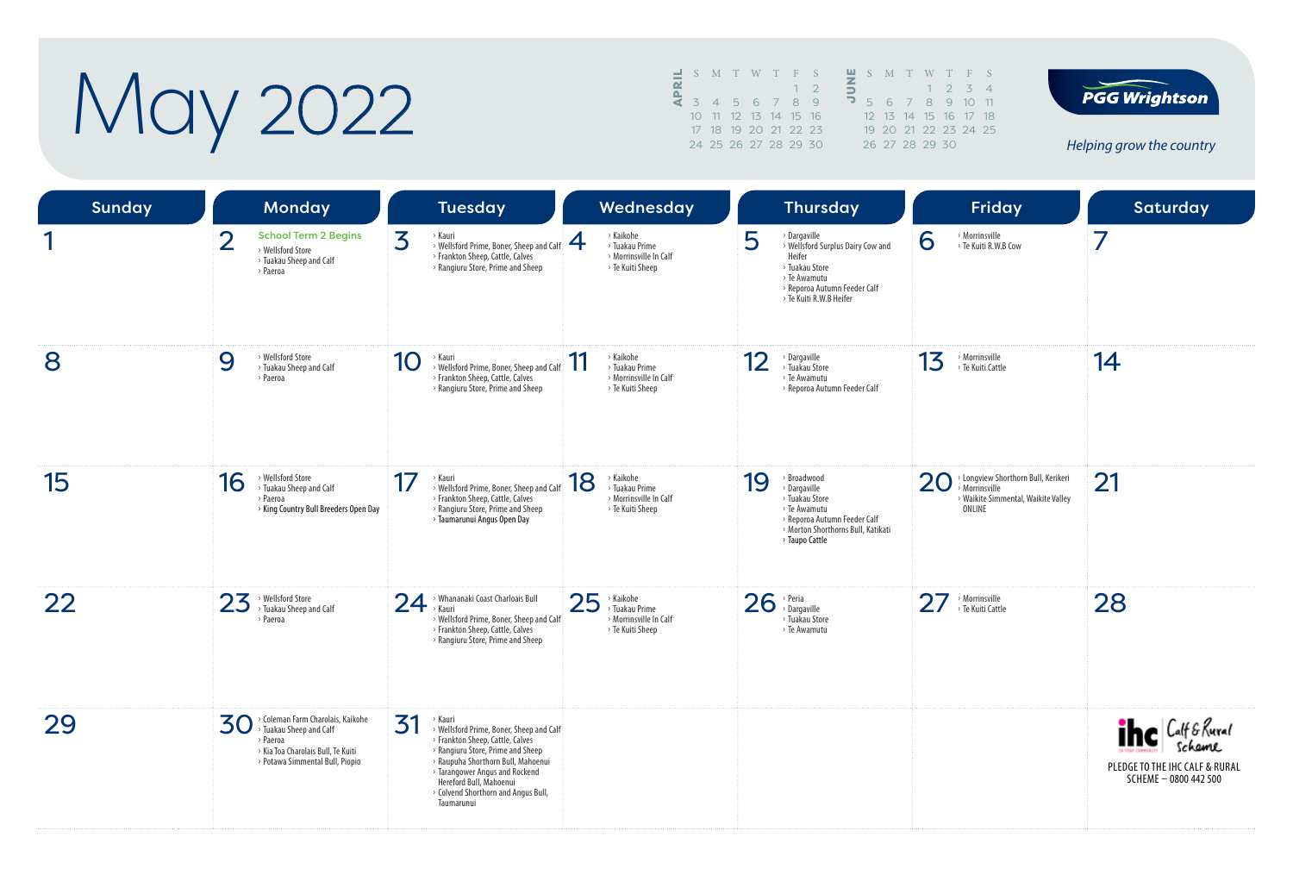# May 2022

| ᆗ |  | S M T W T F S        |  |     | z |               | S M   |  |
|---|--|----------------------|--|-----|---|---------------|-------|--|
| ᅌ |  |                      |  |     | ∍ |               |       |  |
|   |  | 3 4 5 6 7 8          |  | - 9 | ∍ | $5 -$         | 6     |  |
|   |  | 10 11 12 13 14 15 16 |  |     |   | $12 \quad 13$ |       |  |
|   |  | 17 18 19 20 21 22 23 |  |     |   |               | 19.20 |  |
|   |  | 24 25 26 27 28 29 30 |  |     |   | 26 27         |       |  |
|   |  |                      |  |     |   |               |       |  |





| <b>Sunday</b> |                | <b>Monday</b>                                                                                                                                                        |                            | <b>Tuesday</b>                                                                                                                                                                                                                                                                       |     | Wednesday                                                                               |    | <b>Thursday</b>                                                                                                                                          |    | Friday                                                                                                 | <b>Saturday</b>                                                                       |
|---------------|----------------|----------------------------------------------------------------------------------------------------------------------------------------------------------------------|----------------------------|--------------------------------------------------------------------------------------------------------------------------------------------------------------------------------------------------------------------------------------------------------------------------------------|-----|-----------------------------------------------------------------------------------------|----|----------------------------------------------------------------------------------------------------------------------------------------------------------|----|--------------------------------------------------------------------------------------------------------|---------------------------------------------------------------------------------------|
|               | $\overline{2}$ | <b>School Term 2 Begins</b><br>> Wellsford Store<br>> Tuakau Sheep and Calf<br>> Paeroa                                                                              | 3                          | › Kauri<br>> Wellsford Prime, Boner, Sheep and Calf<br>> Frankton Sheep, Cattle, Calves<br>> Rangiuru Store, Prime and Sheep                                                                                                                                                         | 4   | > Kaikohe<br>> Tuakau Prime<br>> Morrinsville In Calf<br>> Te Kuiti Sheep               | 5  | > Dargaville<br>> Wellsford Surplus Dairy Cow and<br>Heifer<br>> Tuakau Store<br>> Te Awamutu<br>> Reporoa Autumn Feeder Calf<br>> Te Kuiti R.W.B Heifer | 6  | > Morrinsville<br>> Te Kuiti R.W.B Cow                                                                 | 7                                                                                     |
| 8             | 9              | > Wellsford Store<br>> Tuakau Sheep and Calf<br>> Paeroa                                                                                                             | 10                         | › Kauri<br>> Wellsford Prime, Boner, Sheep and Calf<br>> Frankton Sheep, Cattle, Calves<br>> Rangiuru Store, Prime and Sheep                                                                                                                                                         | -11 | > Kaikohe<br>> Tuakau Prime<br>> Morrinsville In Calf<br>> Te Kuiti Sheep               | 12 | > Dargaville<br>> Tuakau Store<br>> Te Awamutu<br>> Reporoa Autumn Feeder Calf                                                                           | 13 | > Morrinsville<br>> Te Kuiti Cattle                                                                    | 14                                                                                    |
| 15            | 16             | > Wellsford Store<br>> Tuakau Sheep and Calf<br>> Paeroa<br>> King Country Bull Breeders Open Day                                                                    | 17                         | > Kauri<br>> Wellsford Prime, Boner, Sheep and Calf<br>> Frankton Sheep, Cattle, Calves<br>> Rangiuru Store, Prime and Sheep<br>> Taumarunui Angus Open Day                                                                                                                          | 18  | > Kaikohe<br>> Tuakau Prime<br>> Morrinsville In Calf<br>> Te Kuiti Sheep               | 19 | > Broadwood<br>> Dargaville<br>> Tuakau Store<br>> Te Awamutu<br>> Reporoa Autumn Feeder Calf<br>> Morton Shorthorns Bull, Katikati<br>> Taupo Cattle    | 20 | > Longview Shorthorn Bull, Kerikeri<br>> Morrinsville<br>> Waikite Simmental, Waikite Valley<br>ONLINE | 21                                                                                    |
| 22            | 23             | > Wellsford Store<br><sup>&gt;</sup> Tuakau Sheep and Calf<br>> Paeroa                                                                                               | $24$ <sup>&gt; Whana</sup> | > Whananaki Coast Charloais Bull<br>> Wellsford Prime, Boner, Sheep and Calf<br>> Frankton Sheep, Cattle, Calves<br>> Rangiuru Store, Prime and Sheep                                                                                                                                | 25  | > Kaikohe<br><sup>&gt;</sup> Tuakau Prime<br>> Morrinsville In Calf<br>> Te Kuiti Sheep |    | $26$ <sup>&gt; Peria</sup><br>> Tuakau Store<br>> Te Awamutu                                                                                             |    | $27$ <sup>&gt;</sup> Morrinsville                                                                      | 28                                                                                    |
| 29            |                | > Coleman Farm Charolais, Kaikohe<br>$\mathbf{30}$ $\%$ Coleman Farm Charoidis,<br>> Paeroa<br>> Kia Toa Charolais Bull, Te Kuiti<br>> Potawa Simmental Bull, Piopio | 31                         | › Kauri<br>> Wellsford Prime, Boner, Sheep and Calf<br>> Frankton Sheep, Cattle, Calves<br>> Rangiuru Store, Prime and Sheep<br>> Raupuha Shorthorn Bull, Mahoenui<br>> Tarangower Angus and Rockend<br>Hereford Bull, Mahoenui<br>> Colvend Shorthorn and Angus Bull,<br>Taumarunui |     |                                                                                         |    |                                                                                                                                                          |    |                                                                                                        | ihe Calf & Rural<br>Schame<br>PLEDGE TO THE IHC CALF & RURAL<br>SCHEME - 0800 442 500 |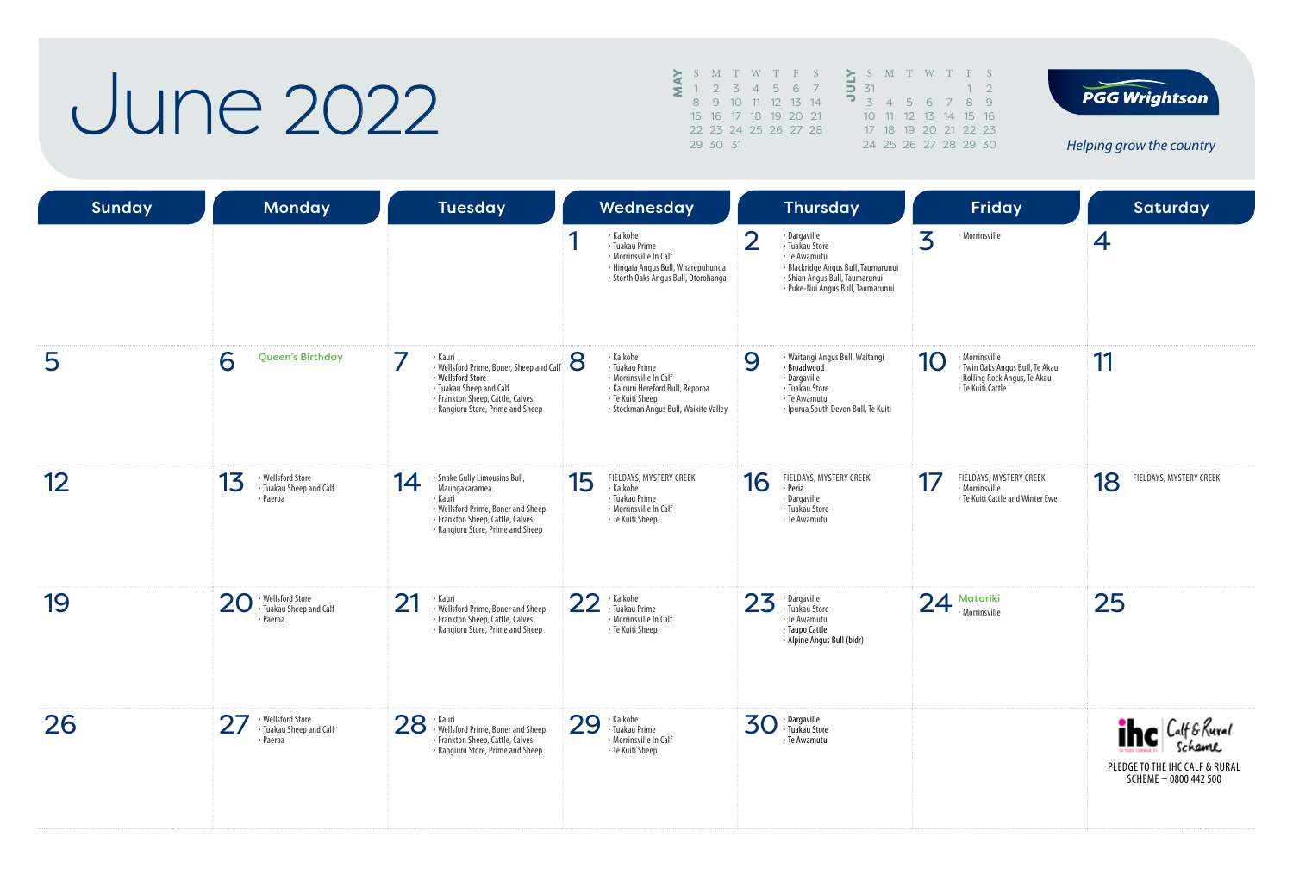#### June 2022

MAY<sup>S</sup> <sup>M</sup> <sup>T</sup> <sup>W</sup> <sup>T</sup> <sup>F</sup> <sup>S</sup> 1 2 3 4 5 6 7 8 9 10 11 12 13 14 15 16 17 18 19 20 21 22 23 24 25 26 27 28 29 30 31

|           |  | SMTWTFS              |             |
|-----------|--|----------------------|-------------|
| $\Box$ 31 |  |                      | $1 \quad 2$ |
|           |  | 3 4 5 6 7 8 9        |             |
|           |  | 10 11 12 13 14 15 16 |             |
|           |  | 17 18 19 20 21 22 23 |             |
|           |  | 24 25 26 27 28 29 30 |             |



| <b>Sunday</b>     | Monday                                                                       | <b>Tuesday</b>                                                                                                                                                                 | Wednesday                                                                                                                                                   | <b>Thursday</b>                                                                                                                                                                | Friday                                                                                                        | <b>Saturday</b>                                                                        |
|-------------------|------------------------------------------------------------------------------|--------------------------------------------------------------------------------------------------------------------------------------------------------------------------------|-------------------------------------------------------------------------------------------------------------------------------------------------------------|--------------------------------------------------------------------------------------------------------------------------------------------------------------------------------|---------------------------------------------------------------------------------------------------------------|----------------------------------------------------------------------------------------|
|                   |                                                                              |                                                                                                                                                                                | > Kaikohe<br>> Tuakau Prime<br>> Morrinsville In Calf<br>> Hingaia Angus Bull, Wharepuhunga<br>> Storth Oaks Angus Bull, Otorohanga                         | $\overline{2}$<br>> Dargaville<br>> Tuakau Store<br>> Te Awamutu<br>> Blackridge Angus Bull, Taumarunui<br>> Shian Angus Bull, Taumarunui<br>> Puke-Nui Angus Bull, Taumarunui | 3<br>> Morrinsville                                                                                           | $\overline{4}$                                                                         |
| 5                 | 6<br><b>Queen's Birthday</b>                                                 | › Kauri<br>> Wellsford Prime, Boner, Sheep and Calf<br>> Wellsford Store<br>> Tuakau Sheep and Calf<br>> Frankton Sheep, Cattle, Calves<br>> Rangiuru Store, Prime and Sheep   | 8<br>> Kaikohe<br>> Tuakau Prime<br>> Morrinsville In Calf<br>> Kairuru Hereford Bull, Reporoa<br>> Te Kuiti Sheep<br>> Stockman Angus Bull, Waikite Valley | 9<br>> Waitangi Angus Bull, Waitangi<br>> Broadwood<br>> Dargaville<br>> Tuakau Store<br>> Te Awamutu<br>> Ipurua South Devon Bull, Te Kuiti                                   | > Morrinsville<br>10<br>> Twin Oaks Angus Bull, Te Akau<br>> Rolling Rock Angus, Te Akau<br>> Te Kuiti Cattle | 11                                                                                     |
| $12 \overline{ }$ | > Wellsford Store<br>13<br><sup>&gt;</sup> Tuakau Sheep and Calf<br>> Paeroa | > Snake Gully Limousins Bull,<br>14<br>Maungakaramea<br>> Kauri<br>> Wellsford Prime, Boner and Sheep<br>> Frankton Sheep, Cattle, Calves<br>> Rangiuru Store, Prime and Sheep | FIELDAYS, MYSTERY CREEK<br>15<br>> Kaikohe<br>> Tuakau Prime<br>> Morrinsville In Calf<br>> Te Kuiti Sheep                                                  | 16<br>FIELDAYS, MYSTERY CREEK<br>> Peria<br>> Dargaville<br>> Tuakau Store<br>> Te Awamutu                                                                                     | 17<br>FIELDAYS, MYSTERY CREEK<br>Morrinsville<br>> Te Kuiti Cattle and Winter Ewe                             | FIELDAYS, MYSTERY CREEK<br>18                                                          |
| 19                | > Wellsford Store<br>20<br>> Tuakau Sheep and Calf<br>> Paeroa               | 21<br>> Kauri<br>> Wellsford Prime, Boner and Sheep<br>> Frankton Sheep, Cattle, Calves<br>> Rangiuru Store, Prime and Sheep                                                   | 22<br>> Kaikohe<br>> Tuakau Prime<br>> Morrinsville In Calf<br>> Te Kuiti Sheep                                                                             | 23<br>> Dargaville<br>> Tuakau Store<br>> Te Awamutu<br>> Taupo Cattle<br>> Alpine Angus Bull (bidr)                                                                           | $24$ Matariki                                                                                                 | 25                                                                                     |
| 26                | > Wellsford Store<br>> Tuakau Sheep and Calf<br>> Paeroa                     | 28 > Kauri<br>> Wellsford Prime, Boner and Sheep<br>> Frankton Sheep, Cattle, Calves<br>> Rangiuru Store, Prime and Sheep                                                      | 29<br>> Kaikohe<br>> Tuakau Prime<br>> Morrinsville In Calf<br>> Te Kuiti Sheep                                                                             | 30<br>> Dargaville<br>> Tuakau Store<br>> Te Awamutu                                                                                                                           |                                                                                                               | <b>The Calf &amp; Rural</b><br>PLEDGE TO THE IHC CALF & RURAL<br>SCHEME - 0800 442 500 |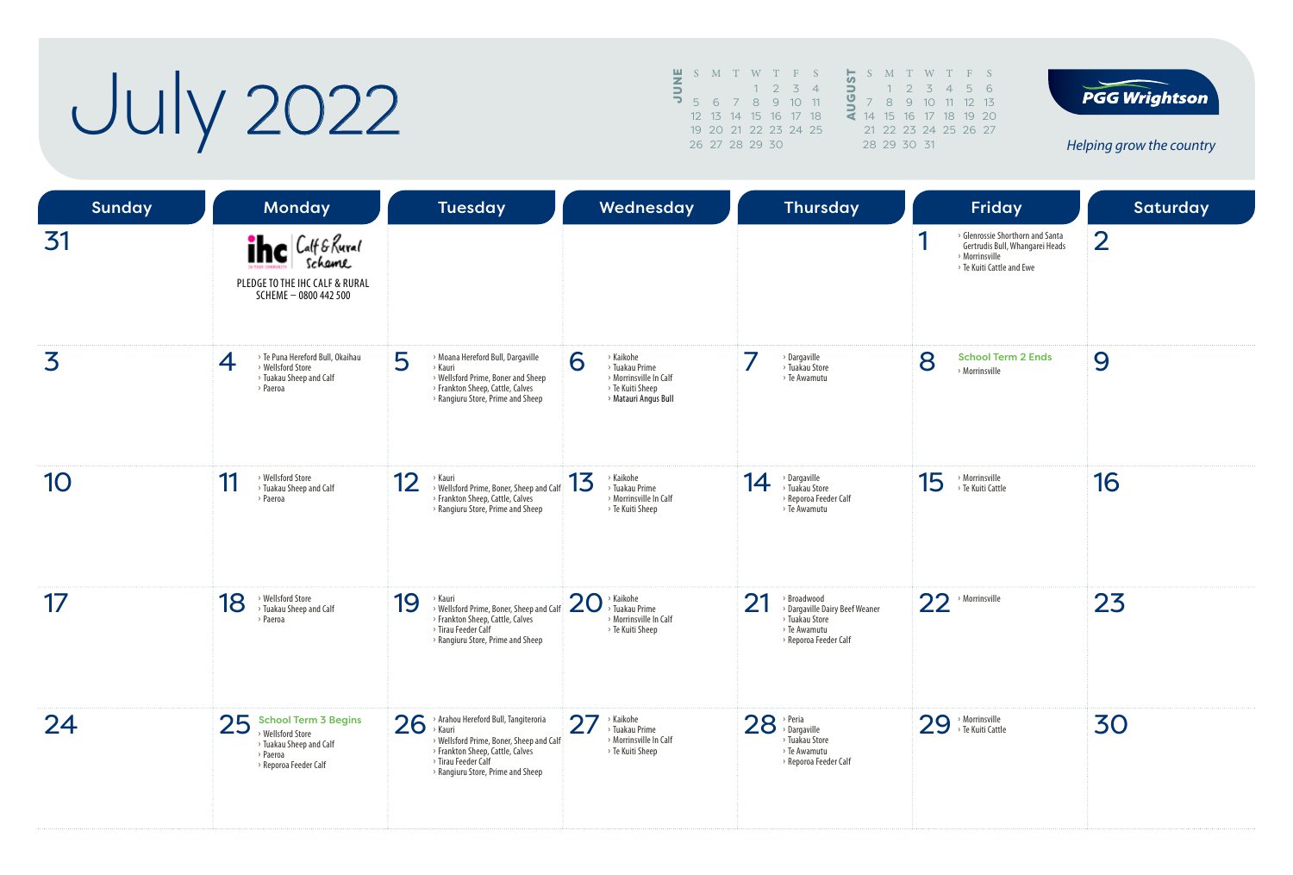# **July 2022**

|                          | $\blacksquare$ S M T W T F S |                      |  |             |                |   | S               | M              |
|--------------------------|------------------------------|----------------------|--|-------------|----------------|---|-----------------|----------------|
| $\overline{5}$           |                              |                      |  | $1 \t2 \t3$ | $\overline{4}$ | ∍ |                 |                |
| $\overline{\phantom{0}}$ |                              | 5 6 7 8 9 10 11      |  |             |                |   |                 | $\beta$        |
|                          |                              | 12 13 14 15 16 17 18 |  |             |                |   | 14 <sup>7</sup> | 1 <sup>F</sup> |
|                          |                              | 19 20 21 22 23 24 25 |  |             |                |   | $21 \t22$       |                |
|                          |                              | 26 27 28 29 30       |  |             |                |   | 28 29           |                |
|                          |                              |                      |  |             |                |   |                 |                |





| <b>Sunday</b> | <b>Monday</b>                                                                                                          | <b>Tuesday</b>                                                                                                                                                                                   | Wednesday                                                                                              | <b>Thursday</b>                                                                                                         | Friday                                                                                                                  | Saturday       |
|---------------|------------------------------------------------------------------------------------------------------------------------|--------------------------------------------------------------------------------------------------------------------------------------------------------------------------------------------------|--------------------------------------------------------------------------------------------------------|-------------------------------------------------------------------------------------------------------------------------|-------------------------------------------------------------------------------------------------------------------------|----------------|
| 31            | <b>The Calf &amp; Rural</b><br>PLEDGE TO THE IHC CALF & RURAL<br>SCHEME - 0800 442 500                                 |                                                                                                                                                                                                  |                                                                                                        |                                                                                                                         | > Glenrossie Shorthorn and Santa<br>А<br>Gertrudis Bull, Whangarei Heads<br>> Morrinsville<br>> Te Kuiti Cattle and Ewe | $\overline{2}$ |
| 3             | > Te Puna Hereford Bull, Okaihau<br>$\overline{4}$<br>> Wellsford Store<br>> Tuakau Sheep and Calf<br>> Paeroa         | 5<br>> Moana Hereford Bull, Dargaville<br>> Kauri<br>> Wellsford Prime, Boner and Sheep<br>> Frankton Sheep, Cattle, Calves<br>> Rangiuru Store, Prime and Sheep                                 | > Kaikohe<br>6<br>> Tuakau Prime<br>> Morrinsville In Calf<br>> Te Kuiti Sheep<br>> Matauri Angus Bull | $\rightarrow$ Dargaville<br>> Tuakau Store<br>> Te Awamutu                                                              | 8<br><b>School Term 2 Ends</b><br>> Morrinsville                                                                        | 9              |
| 10            | > Wellsford Store<br>11<br>> Tuakau Sheep and Calf<br>> Paeroa                                                         | 12<br><b>Kauri</b><br>> Wellsford Prime, Boner, Sheep and Calf<br>> Frankton Sheep, Cattle, Calves<br>> Rangiuru Store, Prime and Sheep                                                          | > Kaikohe<br>13<br>> Tuakau Prime<br>> Morrinsville In Calf<br>> Te Kuiti Sheep                        | > Dargaville<br>> Tuakau Store<br>14<br>> Reporoa Feeder Calf<br>> Te Awamutu                                           | 15<br>> Morrinsville<br>> Te Kuiti Cattle                                                                               | 16             |
| 17            | > Wellsford Store<br>18<br>> Tuakau Sheep and Calf<br>> Paeroa                                                         | 19<br>> Kauri<br>> Wellsford Prime, Boner, Sheep and Calf<br>> Frankton Sheep, Cattle, Calves<br>> Tirau Feeder Calf<br>> Rangiuru Store, Prime and Sheep                                        | 20<br>> Kaikohe<br>> Tuakau Prime<br>> Morrinsville In Calf<br>> Te Kuiti Sheep                        | $2^{\circ}$<br>> Broadwood<br>> Dargaville Dairy Beef Weaner<br>> Tuakau Store<br>> Te Awamutu<br>> Reporoa Feeder Calf | 22<br>> Morrinsville                                                                                                    | 23             |
| 24            | 25<br><b>School Term 3 Begins</b><br>> Wellsford Store<br>> Tuakau Sheep and Calf<br>> Paeroa<br>> Reporoa Feeder Calf | $26$ ; Araho<br>> Arahou Hereford Bull, Tangiteroria<br>> Wellsford Prime, Boner, Sheep and Calf<br>> Frankton Sheep, Cattle, Calves<br>> Tirau Feeder Calf<br>> Rangiuru Store, Prime and Sheep | 27<br>$\times$ Kaikohe<br>> Tuakau Prime<br>> Morrinsville In Calf<br>> Te Kuiti Sheep                 | $28$ <sup>&gt; Peria</sup><br>Dargaville<br>> Tuakau Store<br>> Te Awamutu<br>> Reporoa Feeder Calf                     | 29 > Morrinsville<br>> Te Kuiti Cattle                                                                                  | 30             |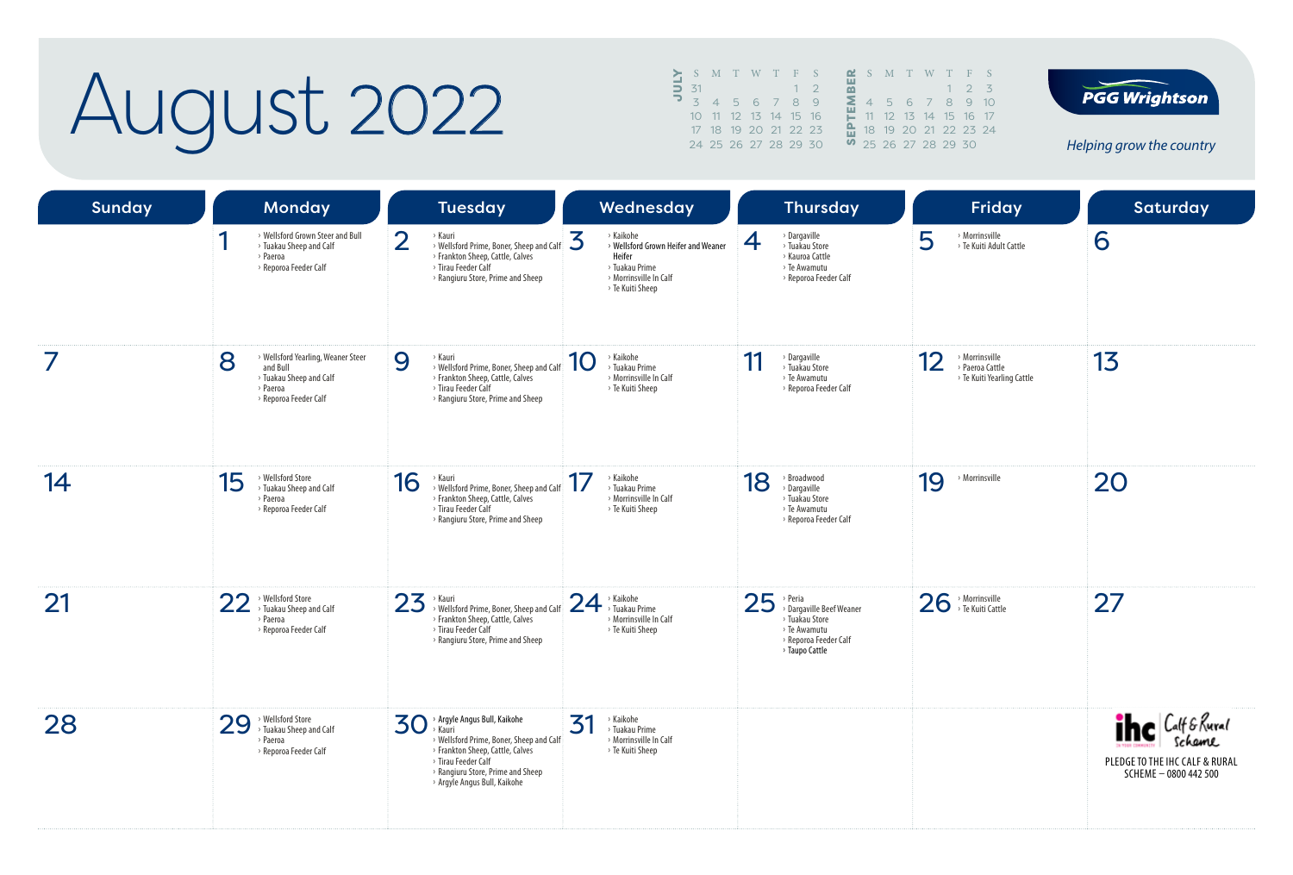## August 2022

|     |                   |   | $\blacktriangleright$ S M T W T F S |  |  | <b>M</b> S M T W T F S        |                |  |             |  |
|-----|-------------------|---|-------------------------------------|--|--|-------------------------------|----------------|--|-------------|--|
|     | $\overline{5}$ 31 |   |                                     |  |  |                               |                |  | $1 \t2 \t3$ |  |
| ד כ |                   | 4 | 5 6 7 8 9                           |  |  |                               | 4 5 6 7 8 9 10 |  |             |  |
|     |                   |   | 10 11 12 13 14 15 16                |  |  | 11 12 13 14 15 16 17          |                |  |             |  |
|     |                   |   | 17 18 19 20 21 22 23                |  |  | <b>A</b> 18 19 20 21 22 23 24 |                |  |             |  |
|     |                   |   | 24 25 26 27 28 29 30                |  |  | 0 25 26 27 28 29 30           |                |  |             |  |



| <b>Sunday</b> | <b>Monday</b>                                                                                                       | <b>Tuesday</b>                                                                                                                                                                                                                 | Wednesday                                                                                                                       | <b>Thursday</b>                                                                                                                | <b>Friday</b>                                                         | Saturday                                                                               |
|---------------|---------------------------------------------------------------------------------------------------------------------|--------------------------------------------------------------------------------------------------------------------------------------------------------------------------------------------------------------------------------|---------------------------------------------------------------------------------------------------------------------------------|--------------------------------------------------------------------------------------------------------------------------------|-----------------------------------------------------------------------|----------------------------------------------------------------------------------------|
|               | > Wellsford Grown Steer and Bull<br>> Tuakau Sheep and Calf<br>> Paeroa<br>> Reporoa Feeder Calf                    | $\overline{2}$<br>› Kauri<br>> Wellsford Prime, Boner, Sheep and Calf<br>> Frankton Sheep, Cattle, Calves<br>> Tirau Feeder Calf<br>> Rangiuru Store, Prime and Sheep                                                          | > Kaikohe<br>3<br>> Wellsford Grown Heifer and Weaner<br>Heifer<br>> Tuakau Prime<br>> Morrinsville In Calf<br>> Te Kuiti Sheep | $\rightarrow$ Dargaville<br>4<br>> Tuakau Store<br>> Kauroa Cattle<br>> Te Awamutu<br>> Reporoa Feeder Calf                    | 5<br>> Morrinsville<br>> Te Kuiti Adult Cattle                        | 6                                                                                      |
|               | > Wellsford Yearling, Weaner Steer<br>8<br>and Bull<br>> Tuakau Sheep and Calf<br>> Paeroa<br>> Reporoa Feeder Calf | 9<br>> Kauri<br>> Wellsford Prime, Boner, Sheep and Calf<br>> Frankton Sheep, Cattle, Calves<br>> Tirau Feeder Calf<br>> Rangiuru Store, Prime and Sheep                                                                       | > Kaikohe<br>10<br>> Tuakau Prime<br>> Morrinsville In Calf<br>> Te Kuiti Sheep                                                 | > Dargaville<br>11<br>> Tuakau Store<br>> Te Awamutu<br>> Reporoa Feeder Calf                                                  | > Morrinsville<br>12<br>> Paeroa Cattle<br>> Te Kuiti Yearling Cattle | 13                                                                                     |
| 14            | > Wellsford Store<br>15<br>> Tuakau Sheep and Calf<br>> Paeroa<br>> Reporoa Feeder Calf                             | 16<br>> Kauri<br>> Wellsford Prime, Boner, Sheep and Calf<br>> Frankton Sheep, Cattle, Calves<br>> Tirau Feeder Calf<br>> Rangiuru Store, Prime and Sheep                                                                      | > Kaikohe<br>> Tuakau Prime<br>> Morrinsville In Calf<br>> Te Kuiti Sheep                                                       | 18<br>> Broadwood<br>> Dargaville<br>> Tuakau Store<br>> Te Awamutu<br>> Reporoa Feeder Calf                                   | 19<br>> Morrinsville                                                  | 20                                                                                     |
| 21            | > Wellsford Store<br>22<br>> Tuakau Sheep and Calf<br>> Paeroa<br>> Reporoa Feeder Calf                             | 23<br>> Kauri<br>> Wellsford Prime, Boner, Sheep and Calf<br>> Frankton Sheep, Cattle, Calves<br>> Tirau Feeder Calf<br>> Rangiuru Store, Prime and Sheep                                                                      | $24$ <sup>&gt; Kaikohe</sup><br>Tuakau Prime<br>> Morrinsville In Calf<br>> Te Kuiti Sheep                                      | $25$ <sup>&gt; Peria</sup> Dargaville Beef Weaner<br>> Tuakau Store<br>> Te Awamutu<br>> Reporoa Feeder Calf<br>> Taupo Cattle | 26 > Morrinsville                                                     | 27                                                                                     |
| 28            | > Wellsford Store<br>> Tuakau Sheep and Calf<br>29<br>> Paeroa<br>> Reporoa Feeder Calf                             | 30<br>> Argyle Angus Bull, Kaikohe<br><b>Kauri</b><br>> Wellsford Prime, Boner, Sheep and Calf<br>> Frankton Sheep, Cattle, Calves<br>> Tirau Feeder Calf<br>> Rangiuru Store, Prime and Sheep<br>> Argyle Angus Bull, Kaikohe | 31<br>> Kaikohe<br>> Tuakau Prime<br>> Morrinsville In Calf<br>> Te Kuiti Sheep                                                 |                                                                                                                                |                                                                       | <b>The Calf &amp; Rural</b><br>PLEDGE TO THE IHC CALF & RURAL<br>SCHEME - 0800 442 500 |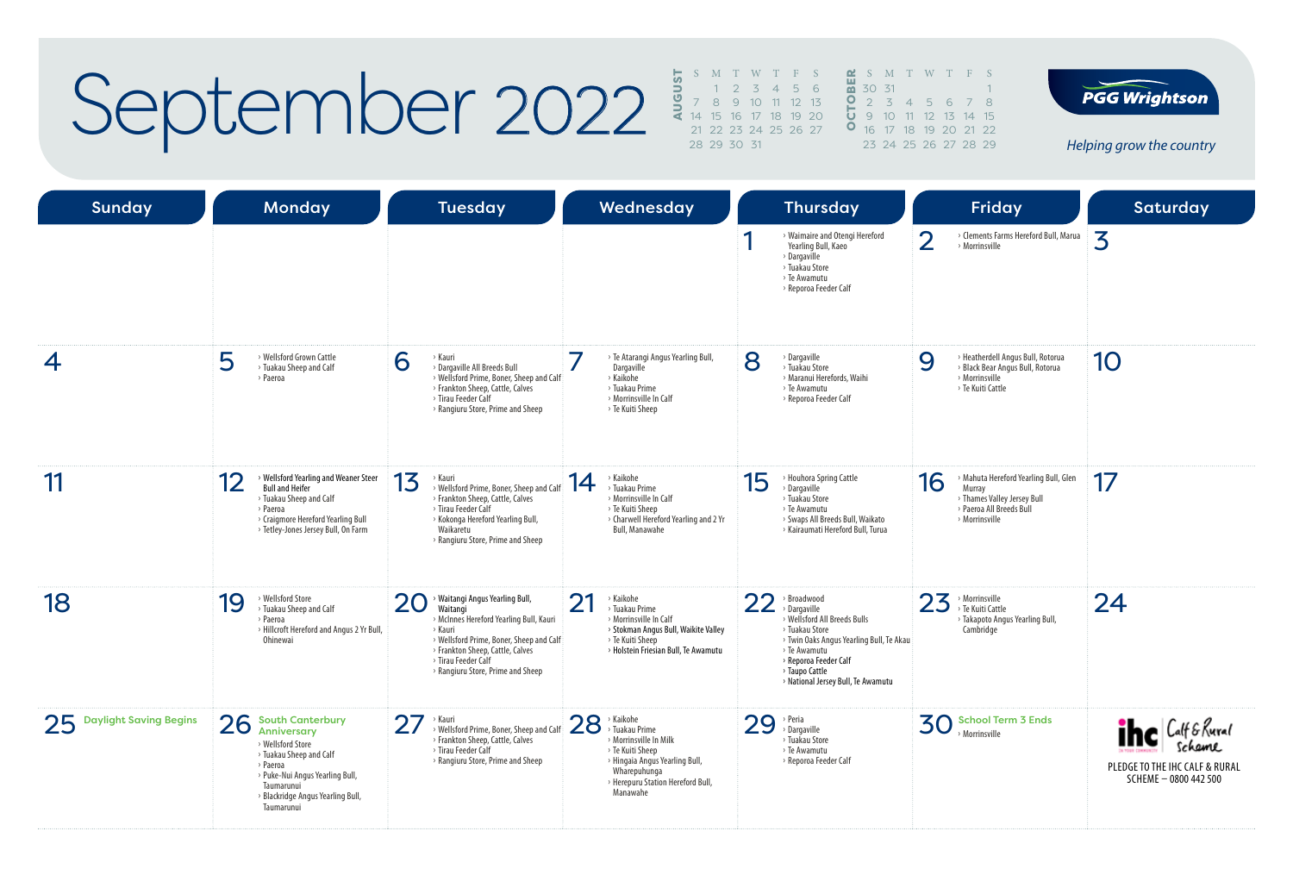# September 2022

|    |                     |                         |  | S M T W T F S |  | $\alpha$ S M         |  |
|----|---------------------|-------------------------|--|---------------|--|----------------------|--|
| J. |                     | $1 \t2 \t3 \t4 \t5 \t6$ |  |               |  | $\frac{1}{60}$ 30 31 |  |
|    | 2 7 8 9 10 11 12 13 |                         |  |               |  | $0 \t2 \t3$          |  |
| ť. |                     | 14 15 16 17 18 19 20    |  |               |  | $5$ 9 10             |  |
|    |                     | 21 22 23 24 25 26 27    |  |               |  | $O$ 16 17            |  |
|    |                     | 28 29 30 31             |  |               |  | 23 24                |  |
|    |                     |                         |  |               |  |                      |  |

T W T F S

4 5 6 7 8 11 12 13 14 15 18 19 20 21 22

25 26 27 28 29

 $\overline{1}$ 



| <b>Sunday</b>             | <b>Monday</b>                                                                                                                                                                                                | <b>Tuesday</b>                                                                                                                                                                                                                                      | Wednesday                                                                                                                                                                                       | <b>Thursday</b>                                                                                                                                                                                                                  | Friday                                                                                                                             | Saturday                                                                               |
|---------------------------|--------------------------------------------------------------------------------------------------------------------------------------------------------------------------------------------------------------|-----------------------------------------------------------------------------------------------------------------------------------------------------------------------------------------------------------------------------------------------------|-------------------------------------------------------------------------------------------------------------------------------------------------------------------------------------------------|----------------------------------------------------------------------------------------------------------------------------------------------------------------------------------------------------------------------------------|------------------------------------------------------------------------------------------------------------------------------------|----------------------------------------------------------------------------------------|
|                           |                                                                                                                                                                                                              |                                                                                                                                                                                                                                                     |                                                                                                                                                                                                 | > Waimaire and Otengi Hereford<br>Yearling Bull, Kaeo<br>> Dargaville<br>> Tuakau Store<br>> Te Awamutu<br>> Reporoa Feeder Calf                                                                                                 | $\overline{2}$<br>> Clements Farms Hereford Bull, Marua<br>> Morrinsville                                                          | 3                                                                                      |
| 4                         | 5<br>> Wellsford Grown Cattle<br>> Tuakau Sheep and Calf<br>> Paeroa                                                                                                                                         | 6<br>> Kauri<br>> Dargaville All Breeds Bull<br>> Wellsford Prime, Boner, Sheep and Calf<br>> Frankton Sheep, Cattle, Calves<br>> Tirau Feeder Calf<br>> Rangiuru Store, Prime and Sheep                                                            | > Te Atarangi Angus Yearling Bull,<br>Dargaville<br>> Kaikohe<br>> Tuakau Prime<br>> Morrinsville In Calf<br>> Te Kuiti Sheep                                                                   | 8<br>> Dargaville<br>> Tuakau Store<br>> Maranui Herefords, Waihi<br>> Te Awamutu<br>> Reporoa Feeder Calf                                                                                                                       | > Heatherdell Angus Bull, Rotorua<br>9<br>> Black Bear Angus Bull, Rotorua<br>> Morrinsville<br>> Te Kuiti Cattle                  | 10                                                                                     |
| 11                        | 12<br>> Wellsford Yearling and Weaner Steer<br><b>Bull and Heifer</b><br>> Tuakau Sheep and Calf<br>> Paeroa<br>> Craigmore Hereford Yearling Bull<br>> Tetley-Jones Jersey Bull, On Farm                    | 13<br>› Kauri<br>> Wellsford Prime, Boner, Sheep and Calf<br>> Frankton Sheep, Cattle, Calves<br>> Tirau Feeder Calf<br>> Kokonga Hereford Yearling Bull,<br>Waikaretu<br>> Rangiuru Store, Prime and Sheep                                         | > Kaikohe<br>14<br>> Tuakau Prime<br>> Morrinsville In Calf<br>> Te Kuiti Sheep<br>> Charwell Hereford Yearling and 2 Yr<br>Bull, Manawahe                                                      | > Houhora Spring Cattle<br>15<br>> Dargaville<br>> Tuakau Store<br>> Te Awamutu<br>> Swaps All Breeds Bull, Waikato<br>> Kairaumati Hereford Bull, Turua                                                                         | 16<br>> Mahuta Hereford Yearling Bull, Glen<br>Murray<br>> Thames Valley Jersey Bull<br>> Paeroa All Breeds Bull<br>> Morrinsville | 17                                                                                     |
| 18                        | > Wellsford Store<br>19<br>> Tuakau Sheep and Calf<br>> Paeroa<br>> Hillcroft Hereford and Angus 2 Yr Bull,<br>Ohinewai                                                                                      | > Waitangi Angus Yearling Bull,<br>20<br>Waitangi<br>> McInnes Hereford Yearling Bull, Kauri<br>> Kauri<br>> Wellsford Prime, Boner, Sheep and Calf<br>> Frankton Sheep, Cattle, Calves<br>> Tirau Feeder Calf<br>> Rangiuru Store, Prime and Sheep | ∩1<br>> Kaikohe<br>ΖI<br>> Tuakau Prime<br>> Morrinsville In Calf<br>> Stokman Angus Bull, Waikite Valley<br>> Te Kuiti Sheep<br>> Holstein Friesian Bull, Te Awamutu                           | 22<br>> Broadwood<br>> Dargaville<br>> Wellsford All Breeds Bulls<br>> Tuakau Store<br>> Twin Oaks Angus Yearling Bull, Te Akau<br>> Te Awamutu<br>> Reporoa Feeder Calf<br>> Taupo Cattle<br>> National Jersey Bull, Te Awamutu | 23<br>> Morrinsville<br>> Te Kuiti Cattle<br>> Takapoto Angus Yearling Bull,<br>Cambridge                                          | 24                                                                                     |
| 25 Daylight Saving Begins | 26<br><b>South Canterbury</b><br>Anniversary<br>> Wellsford Store<br>> Tuakau Sheep and Calf<br>> Paeroa<br>> Puke-Nui Angus Yearling Bull,<br>Taumarunui<br>> Blackridge Angus Yearling Bull,<br>Taumarunui | 27<br>Kauri<br>> Wellsford Prime, Boner, Sheep and Calf<br>> Frankton Sheep, Cattle, Calves<br>> Tirau Feeder Calf<br>> Rangiuru Store, Prime and Sheep                                                                                             | $28$ <sup>&gt; Kaikohe</sup><br>> Tuakau Prime<br>> Morrinsville In Milk<br>> Te Kuiti Sheep<br>> Hingaia Angus Yearling Bull,<br>Wharepuhunga<br>> Herepuru Station Hereford Bull,<br>Manawahe | 29<br>> Peria<br>> Dargaville<br>> Tuakau Store<br>> Te Awamutu<br>> Reporoa Feeder Calf                                                                                                                                         | <b>School Term 3 Ends</b><br>30 School Ter                                                                                         | <b>The Calf &amp; Rural</b><br>PLEDGE TO THE IHC CALF & RURAL<br>SCHEME - 0800 442 500 |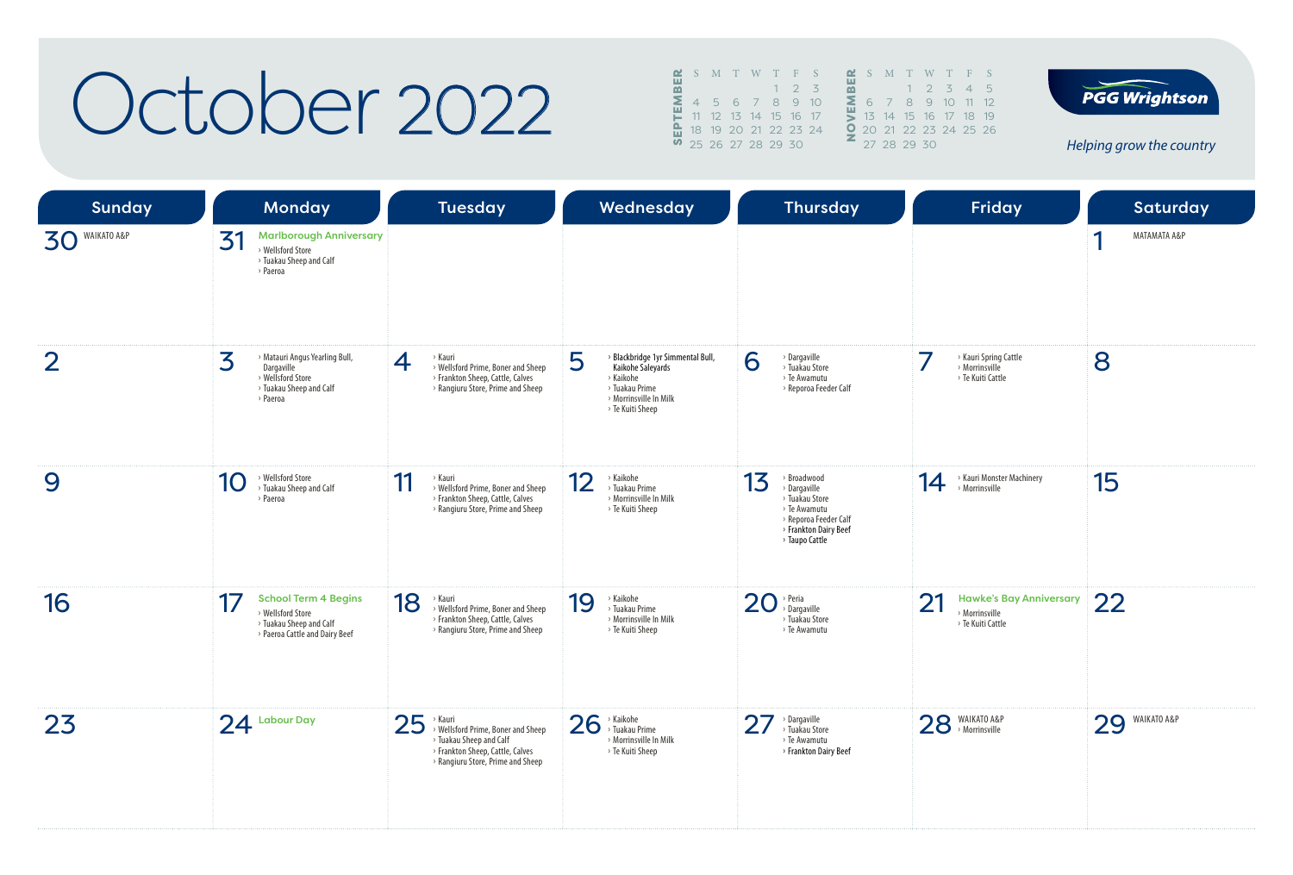### October 2022

|          | <b>E</b> S M T W T F S |                      |  |                  |  |   | $\mathbf{\Omega}$ S M |    |
|----------|------------------------|----------------------|--|------------------|--|---|-----------------------|----|
| $\alpha$ |                        |                      |  | $2 \overline{3}$ |  |   |                       |    |
| Σ        |                        | 4 5 6 7 8 9 10       |  |                  |  | Σ | 6 7                   |    |
|          |                        | 11 12 13 14 15 16 17 |  |                  |  |   | $13 -$                | 14 |
|          | 18 19 20 21 22 23 24   |                      |  |                  |  |   | $202^{\circ}$         |    |
|          | 0 25 26 27 28 29 30    |                      |  |                  |  |   | 27, 28                |    |
|          |                        |                      |  |                  |  |   |                       |    |

 S M T W T F S<br> **22** 6 7 8 9 10 11 12<br> **22** 13 14 15 16 17 18 19<br> **22** 20 21 22 23 24 25 20<br> **22** 20 21 22 23 24 25 20 1 2 3 4 5 7 8 9 10 11 12 14 15 16 17 18 19 21 22 23 24 25 26  $29, 30$ 



| <b>Sunday</b>  | Monday                                                                                                        | <b>Tuesday</b>                                                                                                                                                        | Wednesday                                                                                                                                | <b>Thursday</b>                                                                                                                         | <b>Friday</b>                                                               | Saturday          |
|----------------|---------------------------------------------------------------------------------------------------------------|-----------------------------------------------------------------------------------------------------------------------------------------------------------------------|------------------------------------------------------------------------------------------------------------------------------------------|-----------------------------------------------------------------------------------------------------------------------------------------|-----------------------------------------------------------------------------|-------------------|
| 30 WAIKATO A&P | <b>Marlborough Anniversary</b><br>31<br>> Wellsford Store<br>> Tuakau Sheep and Calf<br>> Paeroa              |                                                                                                                                                                       |                                                                                                                                          |                                                                                                                                         |                                                                             | А<br>MATAMATA A&P |
| $\overline{2}$ | 3<br>> Matauri Angus Yearling Bull,<br>Dargaville<br>> Wellsford Store<br>> Tuakau Sheep and Calf<br>> Paeroa | > Kauri<br>$\overline{4}$<br>> Wellsford Prime, Boner and Sheep<br>> Frankton Sheep, Cattle, Calves<br>> Rangiuru Store, Prime and Sheep                              | > Blackbridge 1yr Simmental Bull,<br>5<br>Kaikohe Saleyards<br>> Kaikohe<br>> Tuakau Prime<br>> Morrinsville In Milk<br>> Te Kuiti Sheep | 6<br>> Dargaville<br>> Tuakau Store<br>> Te Awamutu<br>> Reporoa Feeder Calf                                                            | > Kauri Spring Cattle<br>> Morrinsville<br>> Te Kuiti Cattle                | 8                 |
| 9              | > Wellsford Store<br>10<br>> Tuakau Sheep and Calf<br>> Paeroa                                                | 11<br>> Kauri<br>> Wellsford Prime, Boner and Sheep<br>> Frankton Sheep, Cattle, Calves<br>> Rangiuru Store, Prime and Sheep                                          | 12<br>> Kaikohe<br>> Tuakau Prime<br>> Morrinsville In Milk<br>> Te Kuiti Sheep                                                          | 13<br>> Broadwood<br>> Dargaville<br>> Tuakau Store<br>> Te Awamutu<br>> Reporoa Feeder Calf<br>> Frankton Dairy Beef<br>> Taupo Cattle | > Kauri Monster Machinery<br>14<br>> Morrinsville                           | 15                |
| 16             | <b>School Term 4 Begins</b><br>> Wellsford Store<br>> Tuakau Sheep and Calf<br>> Paeroa Cattle and Dairy Beef | 18<br>> Kauri<br>> Wellsford Prime, Boner and Sheep<br>> Frankton Sheep, Cattle, Calves<br>> Rangiuru Store, Prime and Sheep                                          | > Kaikohe<br>19<br>> Tuakau Prime<br>> Morrinsville In Milk<br>> Te Kuiti Sheep                                                          | $20$ <sup>&gt;</sup> Peria<br>> Tuakau Store<br>> Te Awamutu                                                                            | 21<br><b>Hawke's Bay Anniversary</b><br>> Morrinsville<br>> Te Kuiti Cattle | 22                |
| 23             | $24$ Labour Day                                                                                               | 25<br>> Kauri<br>> Wellsford Prime, Boner and Sheep<br><sup>&gt;</sup> Tuakau Sheep and Calf<br>> Frankton Sheep, Cattle, Calves<br>> Rangiuru Store, Prime and Sheep | 26<br>> Kaikohe<br>> Tuakau Prime<br>> Morrinsville In Milk<br>> Te Kuiti Sheep                                                          | $\overline{2}$<br>> Dargaville<br>> Tuakau Store<br>> Te Awamutu<br>> Frankton Dairy Beef                                               | 28 MAIKATO A&P                                                              | 29<br>WAIKATO A&P |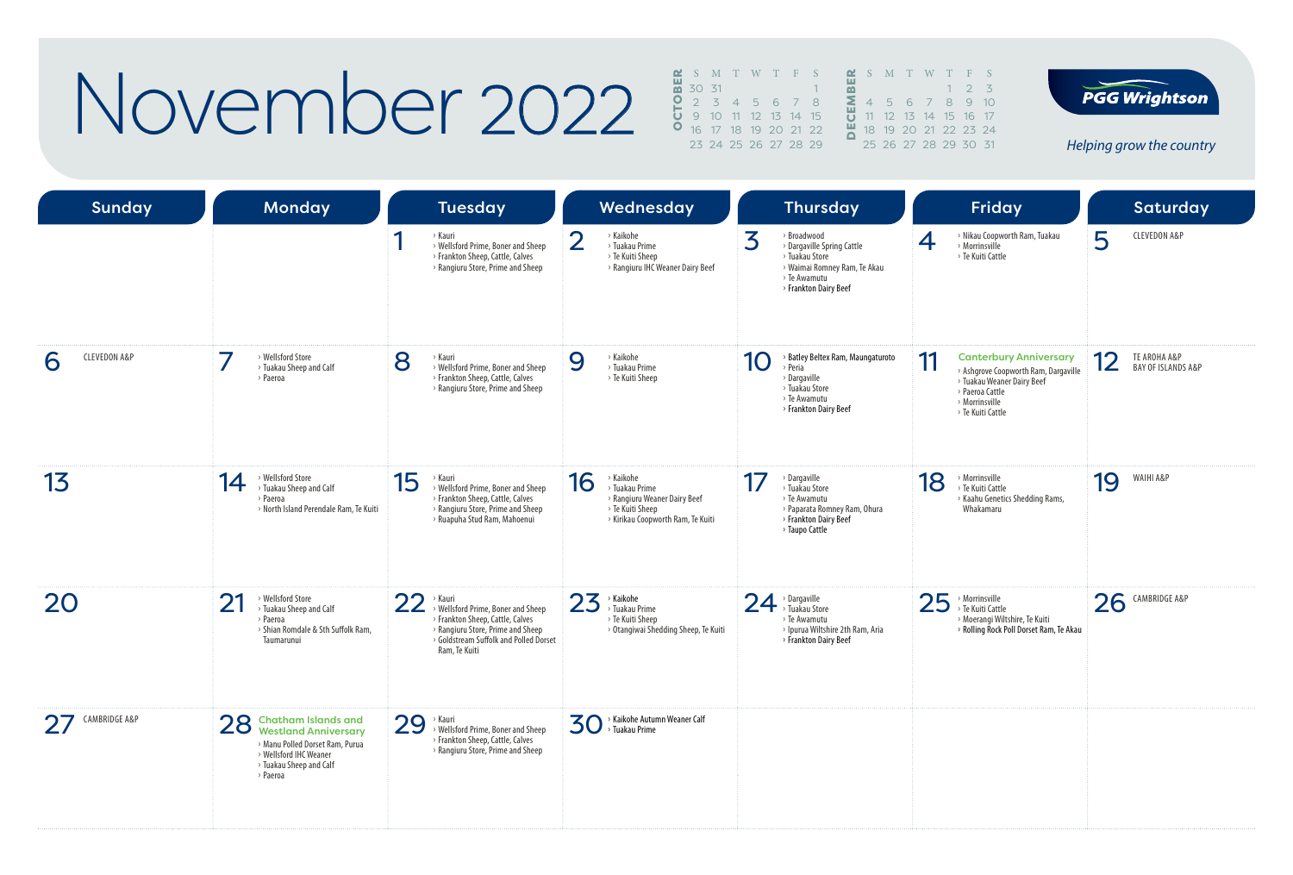## November 2022

|                       |  |                                   |  | <b>2</b> S M T W T F S <b>2</b> S M T W T F S |  |  |                               |  |
|-----------------------|--|-----------------------------------|--|-----------------------------------------------|--|--|-------------------------------|--|
| $\frac{11}{20}$ 30 31 |  |                                   |  |                                               |  |  | $1 \t2 \t3$                   |  |
|                       |  | 0 2 3 4 5 6 7 8                   |  |                                               |  |  | <b>2</b> 4 5 6 7 8 9 10       |  |
|                       |  | $\frac{1}{2}$ 9 10 11 12 13 14 15 |  |                                               |  |  | 11 12 13 14 15 16 17          |  |
|                       |  | <b>0</b> 16 17 18 19 20 21 22     |  |                                               |  |  | <b>4</b> 18 19 20 21 22 23 24 |  |
|                       |  | 23 24 25 26 27 28 29              |  |                                               |  |  | 25 26 27 28 29 30 31          |  |



11 12 13 14 15 16 17 21 22 23 24 25 26 27 28 29 30 31

| <b>Sunday</b>                | Monday                                                                                                                                                                            | <b>Tuesday</b>                                                                                                                                                                          | Wednesday                                                                                                                  | <b>Thursday</b>                                                                                                                           | <b>Friday</b>                                                                                                                                                       | Saturday                                            |
|------------------------------|-----------------------------------------------------------------------------------------------------------------------------------------------------------------------------------|-----------------------------------------------------------------------------------------------------------------------------------------------------------------------------------------|----------------------------------------------------------------------------------------------------------------------------|-------------------------------------------------------------------------------------------------------------------------------------------|---------------------------------------------------------------------------------------------------------------------------------------------------------------------|-----------------------------------------------------|
|                              |                                                                                                                                                                                   | > Kauri<br>> Wellsford Prime, Boner and Sheep<br>> Frankton Sheep, Cattle, Calves<br>> Rangiuru Store, Prime and Sheep                                                                  | ◠<br>> Kaikohe<br>$\angle$<br>> Tuakau Prime<br>> Te Kuiti Sheep<br>> Rangiuru IHC Weaner Dairy Beef                       | 3<br>> Broadwood<br>> Dargaville Spring Cattle<br>> Tuakau Store<br>> Waimai Romney Ram, Te Akau<br>> Te Awamutu<br>> Frankton Dairy Beef | > Nikau Coopworth Ram, Tuakau<br>4<br>Morrinsville<br>> Te Kuiti Cattle                                                                                             | 5<br><b>CLEVEDON A&amp;P</b>                        |
| <b>CLEVEDON A&amp;P</b><br>6 | > Wellsford Store<br>> Tuakau Sheep and Calf<br>> Paeroa                                                                                                                          | 8<br>> Kauri<br>> Wellsford Prime, Boner and Sheep<br>> Frankton Sheep, Cattle, Calves<br>> Rangiuru Store, Prime and Sheep                                                             | > Kaikohe<br>9<br>> Tuakau Prime<br>> Te Kuiti Sheep                                                                       | > Batley Beltex Ram, Maungaturoto<br>10<br>> Peria<br>$\rightarrow$ Dargaville<br>> Tuakau Store<br>> Te Awamutu<br>> Frankton Dairy Beef | 11<br><b>Canterbury Anniversary</b><br>> Ashgrove Coopworth Ram, Dargaville<br>> Tuakau Weaner Dairy Beef<br>> Paeroa Cattle<br>> Morrinsville<br>> Te Kuiti Cattle | TE AROHA A&P<br>12<br><b>BAY OF ISLANDS A&amp;P</b> |
| 13                           | > Wellsford Store<br>14<br>> Tuakau Sheep and Calf<br>> Paeroa<br>> North Island Perendale Ram, Te Kuiti                                                                          | 15<br>> Kauri<br>> Wellsford Prime, Boner and Sheep<br>> Frankton Sheep, Cattle, Calves<br>> Rangiuru Store, Prime and Sheep<br>> Ruapuha Stud Ram, Mahoenui                            | 16<br>> Kaikohe<br>> Tuakau Prime<br>> Rangiuru Weaner Dairy Beef<br>> Te Kuiti Sheep<br>> Kirikau Coopworth Ram, Te Kuiti | 17<br>> Dargaville<br>> Tuakau Store<br>> Te Awamutu<br>> Paparata Romney Ram, Ohura<br>> Frankton Dairy Beef<br>> Taupo Cattle           | 18<br>$\rightarrow$ Morrinsville<br>> Te Kuiti Cattle<br>> Kaahu Genetics Shedding Rams,<br>Whakamaru                                                               | WAIHI A&P<br>19                                     |
| 20                           | 21<br>> Wellsford Store<br>> Tuakau Sheep and Calf<br>> Paeroa<br>> Shian Romdale & Sth Suffolk Ram,<br>Taumarunui                                                                | 22<br>> Kauri<br>> Wellsford Prime, Boner and Sheep<br>> Frankton Sheep, Cattle, Calves<br>> Rangiuru Store, Prime and Sheep<br>> Goldstream Suffolk and Polled Dorset<br>Ram, Te Kuiti | $23$ <sup>&gt; Kaikohe</sup><br>> Tuakau Prime<br>> Te Kuiti Sheep<br>> Otangiwai Shedding Sheep, Te Kuiti                 | $24$ <sup>&gt;</sup> Dargaville<br>> Te Awamutu<br>> Ipurua Wiltshire 2th Ram, Aria<br>> Frankton Dairy Beef                              | 25<br>> Morrinsville<br>> Te Kuiti Cattle<br>» Moerangi Wiltshire, Te Kuiti<br>> Rolling Rock Poll Dorset Ram, Te Akau                                              | 26<br>CAMBRIDGE A&P                                 |
| CAMBRIDGE A&P<br>27          | 28 Chatham Islands and<br>Westland Anniversary<br><b>Westland Anniversary</b><br>> Manu Polled Dorset Ram, Purua<br>> Wellsford IHC Weaner<br>> Tuakau Sheep and Calf<br>> Paeroa | 29<br>→ Kauri<br><b>Wellsford Prime, Boner and Sheep</b><br>> Frankton Sheep, Cattle, Calves<br>> Rangiuru Store, Prime and Sheep                                                       | > Kaikohe Autumn Weaner Calf<br>30<br>> Tuakau Prime                                                                       |                                                                                                                                           |                                                                                                                                                                     |                                                     |